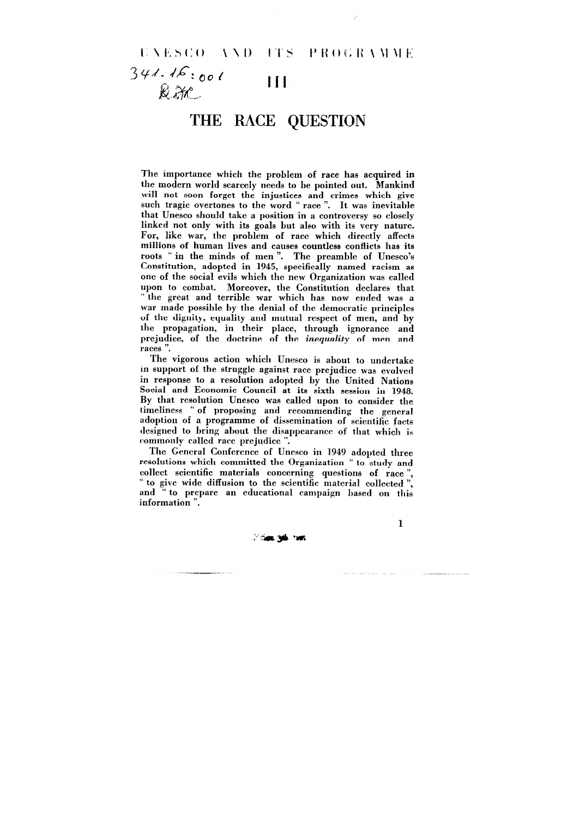## ENESCO AND ITS PROGRAMME  $341.16.001$ Ш  $\&$  and

## THE RACE QUESTION

The importance which the problem of race has acquired in the modern world scarcely needs to be pointed out. Mankind will not soon forget the injustices and crimes which give such tragic overtones to the word " race ". It was inevitable that Unesco should take a position in a controversy so closely linked not only with its goals but also with its very nature. For, like war, the problem of race which directly affects millions of human lives and causes countless conflicts has its roots " in the minds of men ". The preamble of Unesco's Constitution, adopted in 1945, specifically named racism as one of the social evils which the new Organization was called upon to combat. Moreover, the Constitution declares that " the great and terrible war which has now ended was a war made possible by the denial of the democratic principles of the dignity, equality and mutual respect of men, and by the propagation, in their place, through ignorance and prejudice, of the doctrine of the inequality of men and races ".

The vigorous action which Unesco is about to undertake in support of the struggle against race prejudice was evolved in response to a resolution adopted by the United Nations Social and Economic Council at its sixth session in 1948. By that resolution Unesco was called upon to consider the timeliness " of proposing and recommending the general adoption of a programme of dissemination of scientific facts designed to bring about the disappearance of that which is commouly called race prejudice ".

The General Conference of Unesco in 1949 adopted three resolutions which committed the Organization " to study and collect scientific materials concerning questions of race ", " to give wide diffusion to the scientific material collected ", and " to prepare an educational campaign based on this information ".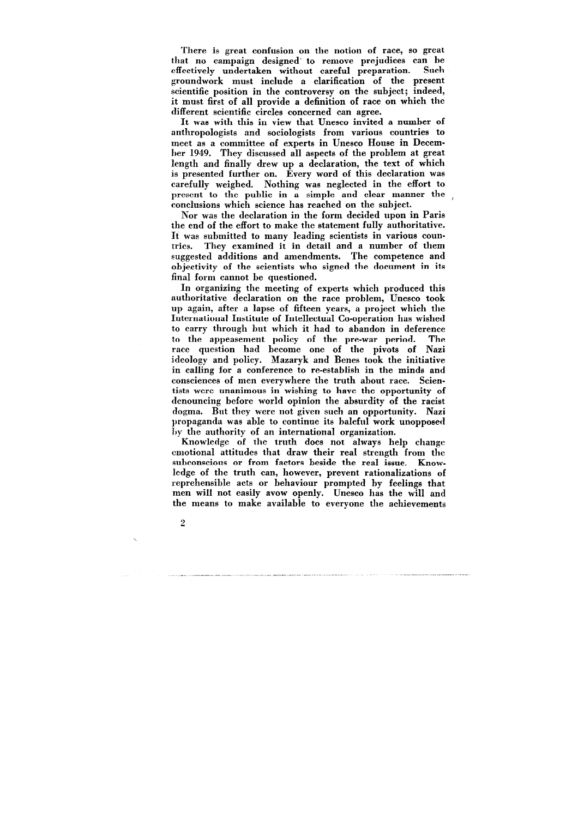There is great confusion on the notion of race, so great that no campaign designed' to remove prejudices can be effectively undertaken without careful preparation. Such groundwork must include a clarification of the present scientific position in the controversy on the subject; indeed, it must first of all provide a definition of race on which the different scientific circles concerned can agree.

It was with this in view that Unesco invited a number of anthropologists and sociologists from various countries to meet as a committee of experts in Unesco House in December 1949. They discussed all aspects of the problem at great length and finally drew up a declaration, the text of which is presented further on. Every word of this declaration was carefully weighed. Nothing was neglected in the effort to present to the public in a simple and clear manner the conclusions which science has reached on the subject.

Nor was the declaration in the form decided upon in Paris the end of the effort to make the statement fully authoritative. It was submitted to many leading scientists in various coun-<br>tries. They examined it in detail and a number of them They examined it in detail and a number of them suggested additions and amendments. The competence and objectivity of the scientists who signed the document in its final form cannot be questioned.

In organizing the meeting of experts which produced this authoritative declaration on the race problem, Unesco took up again, after a lapse of fifteen years, a project which the International Institute of Intellectual Co-operation has wished to carry through but which it had to abandon in deference to the appeasement policy of the pre-war period. The race question had become one of the pivots of Nazi ideology and policy. Mazaryk and Benes took the initiative in calling for a conference to re-establish in the minds and consciences of men everywhere the truth about race. Scientists were unanimous in wishing to have the opportunity of denouncing before world opinion the absurdity of the racist dogma. But they were not given such an opportunity. Nazi propaganda was able to continue its baleful work unopposed by the authority of an international organization.

Knowledge of the truth does not always help change emotional attitudes that draw their real strength from the subconscious or from factors beside the real issue. Knowledge of the truth can, however, prevent rationalizations of reprehensible acts or behaviour prompted by feelings that men will not easily avow openly. Unesco has the will and the means to make available to everyone the achievements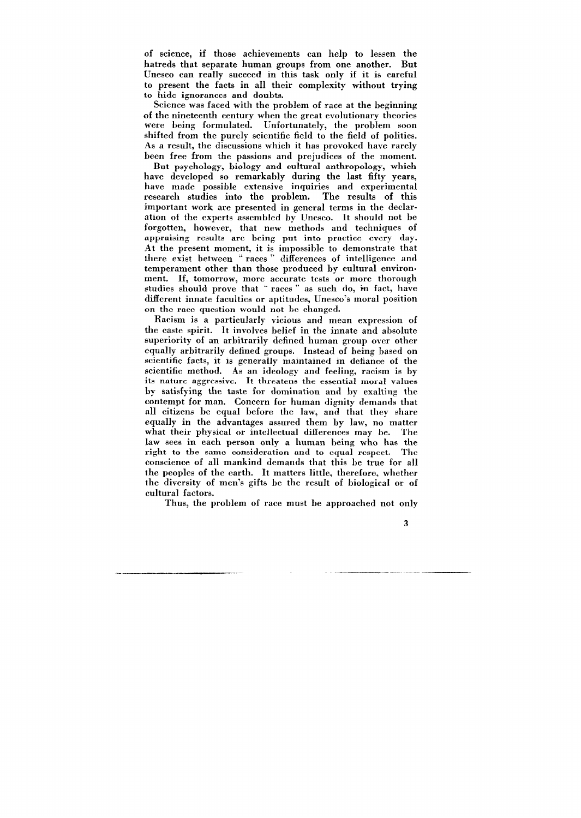of science, if those achievements can help to lessen the hatreds that separate human groups from one another. But Unesco can really succeed in this task only if it is careful to present the facts in all their complexity without trying to hide ignorances and doubts.

Science was faced with the problem of race at the beginning of the nineteenth century when the great evolutionary theories were being formulated. Unfortunately, the problem soon shifted from the purely scientific field to the field of politics. As a result, the discussions which it has provoked have rarely been free from the passions and prejudices of the moment.

But psychology, biology and cultural anthropology, which have developed so remarkably during the last fifty years, have made possible extensive inquiries and experimental research studies into the problem. The results of this important work are presented in general terms in the declaration of the experts assembled by Unesco. It should not be forgotten, however, that new methods and techniques of appraising results are being put into practice every day. At the present moment, it is impossible to demonstrate that there exist between " races " differences of intelligence and temperament other than those produced by cultural environ, ment. If, tomorrow, more accurate tests or more thorough studies should prove that " races " as such do, in fact, have different innate faculties or aptitudes, Unesco's moral position on the race question would not be changed.

Racism is a particularly vicious and mean expression of the caste spirit. It involves belief in the innate and absolute superiority of an arbitrarily defined human group over other equally arbitrarily defined groups. Instead of being based on scientific facts, it is generally maintained in defiance of the scientific method. As an ideology and feeling, racism is by its nature aggressive. It threatens the essential moral values by satisfying the taste for domination and by exalting the contempt for man. Concern for human dignity demands that all citizens be equal before the law, and that they share equally in the advantages assured them by law, no matter what their physical or intellectual differences may be. The law sees in each person only a human being who has the right to the same consideration and to equal respect. The conscience of all mankind demands that this be true for all the peoples of the earth. It matters little, therefore, whether the diversity of men's gifts be the result of biological or of cultural factors.

Thus, the problem of race must be approached not only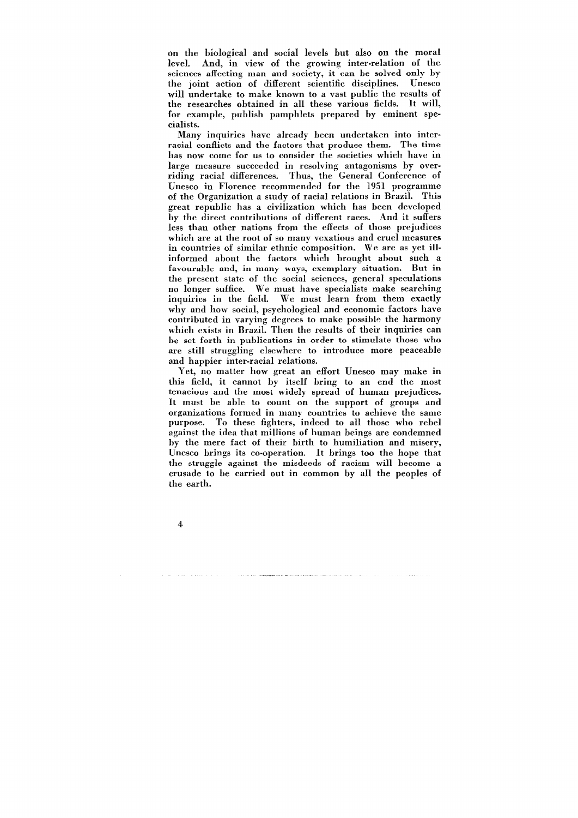on the biological and social levels but also on the moral level. And, in view of the growing inter-relation of the sciences affecting man and society, it can be solved only by<br>the joint action of different scientific disciplines. Unesco the joint action of different scientific disciplines. will undertake to make known to a vast public the results of the researches obtained in all these various fields. It will, for example, publish pamphlets prepared by eminent specialists.

Many inquiries have already been undertaken into interracial conflicts and the factors that produce them. The time has now come for us to consider the societies which have in large measure succeeded in resolving antagonisms by overriding racial differences. Thus, the General Conference of Unesco in Florence recommended for the 1951 programme of the Organization a study of racial relations in Brazil. This great republic has a civilization which has been developed by the direct contributions of different races. And it suffers less than other nations from the effects of those prejudices which are at the root of so many vexatious and cruel measures in countries of similar ethnic composition. We are as yet illinformed about the factors which brought about such a favourable and, in many ways, exemplary situation. But in the present state of the social sciences, general speculations no longer suffice. We must have specialists make searching inquiries in the field. We must learn from them exactly why and how social, psychological and economic factors have contributed in varying degrees to make possible the harmony which exists in Brazil. Then the results of their inquiries can be set forth in publications in order to stimulate those who are still struggling elsewhere to introduce more peaceable and happier inter-racial relations.

Yet, no matter how great an effort Unesco may make in this field, it cannot by itself bring to an end the most tenacious and the most widely spread of human prejudices. It must be able to count on the support of groups and organizations formed in many countries to achieve the same purpose. To these fighters, indeed to all those who rebel against the idea that millions of human beings are condemned by the mere fact of their birth to humiliation and misery, Unesco brings its co-operation. It brings too the hope that the struggle against the misdeeds of racism will become a crusade to be carried out in common by all the peoples of the earth.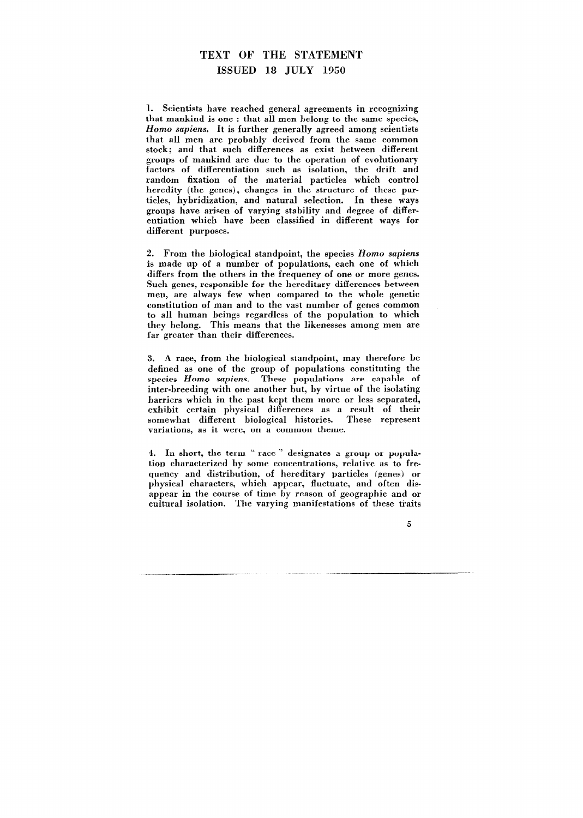## TEXT OF THE STATEMENT ISSUED 18 JULY 1950

1. Scientists have reached general agreements in recognizing that mankind is one : that all men belong to the same species, Homo sapiens. It is further generally agreed among scientists that all men are probably derived from the same common stock; and that such differences as exist between different groups of mankind are due to the operation of evolutionary factors of differentiation such as isolation, the drift and random fixation of the material particles which control heredity (the genes), changes in the structure of these particles, hybridization, and natural selection. In these ways groups have arisen of varying stability and degree of differentiation which have been classified in different ways for different purposes.

2. From the biological standpoint, the species Homo sapiens is made up of a number of populations, each one of which differs from the others in the frequency of one or more genes. Such genes, responsible for the hereditary differences between men, are always few when compared to the whole genetic constitution of man and to the vast number of genes common to all human beings regardless of the population to which they belong. This means that the likenesses among men are far greater than their differences.

3. A race, from the biological standpoint, may therefore be defined as one of the group of populations constituting the species Homo sapiens. These populations are capable of inter-breeding with one another but, by virtue of the isolating barriers which in the past kept them more or less separated, exhibit certain physical differences as a result of their somewhat different biological histories. These represent variations, as it were, on a common theme.

4. In short, the term " race " designates a group or population characterized by some concentrations, relative as to frequency and distribution, of hereditary particles (genes) or physical characters, which appear, fluctuate, and often disappear in the course of time by reason of geographic and or cultural isolation. The varying manifestations of these traits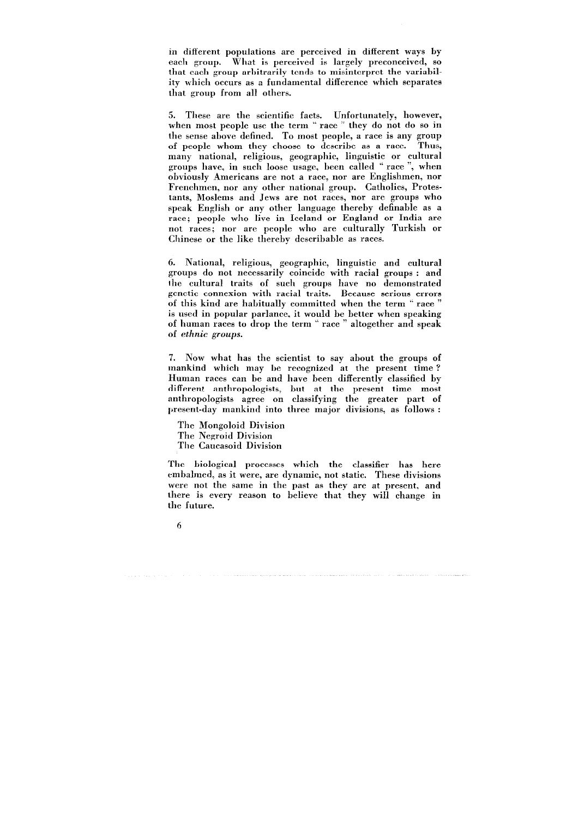in different populations are perceived in different ways by each group. What is perceived is largely preconceived, so that each group arbitrarily tends to misinterpret the variability which occurs as a fundamental difference which separates that group from all others.

5. These are the scientific facts. Unfortunately, however, when most people use the term " race " they do not do so in the sense above defined. To most people, a race is any group of people whom they choose to describe as a race. Thus, many national, religious, geographic, linguistic or cultural groups have, in such loose usage, heen called " race ", when obviously Americans are not a race, nor are Englishmen, nor Frenchmen, nor any other national group. Catholics, Protestants, Moslems and Jews are not races, nor are groups who speak English or any other language thereby definable as a race; people who live in Iceland or England or India are not races; nor are people who are culturally Turkish or Chinese or the like thereby describable as races.

6. National, religious, geographic, linguistic and cultural groups do not necessarily coincide with racial groups : and the cultural traits of such groups have no demonstrated genetic connexion with racial traits. Because serious errors of this kind are habitually committed when the term " race " is used in popular parlance, it would be better when speaking of human races to drop the term " race " altogether and speak of ethnic groups.

7. Now what has the scientist to say about the groups of mankind which may be recognized at the present time ? Human races can be and have heen differently classified by different anthropologists, but at the present time most anthropologists agree on classifying the greater part of present-day mankind into three major divisions, as follows :

The Mongoloid Division The Negroid Division The Caucasoid Division

The biological processes which the classifier has here embalmed, as it were, are dynamic, not static. These divisions were not the same in the past as they are at present, and there is every reason to believe that they will change in the future.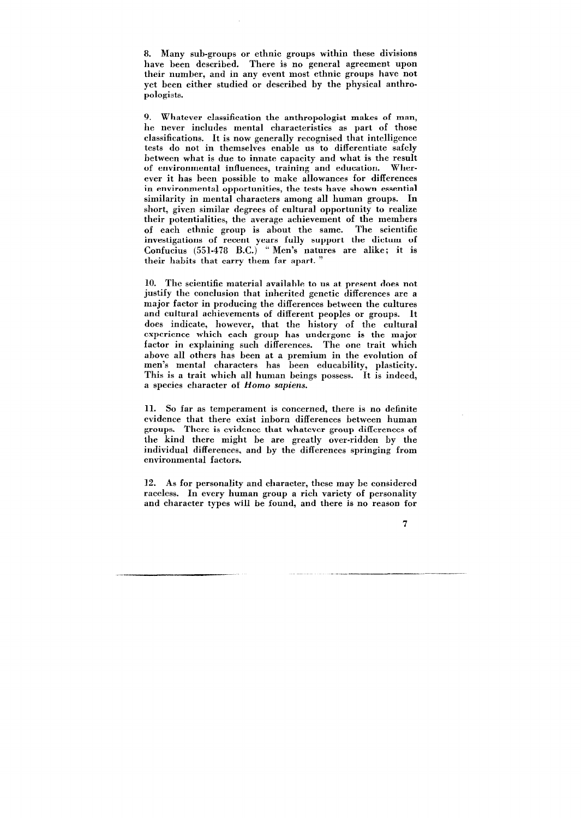8. Many sub-groups or ethnic groups within these divisions There is no general agreement upon their number, and in any event most ethnic groups have not yet been either studied or described by the physical anthropologists.

9. Whatever classification the anthropologist makes of man, he never includes mental characteristics as part of those classifications. It is now generally recognised that intelligence tests do not in themselves enable us to differentiate safely between what is due to innate capacity and what is the result of environmental influences, training and education. Wherever it has been possible to make allowances for differences in environmental opportunities, the tests have shown essential similarity in mental characters among all human groups. In short, given similar degrees of cultural opportunity to realize their potentialities, the average achievement of the members of each ethnic group is about the same. The scientific investigations of recent years fully support the dictum of Confucius (551-478 B.C.) " Men's natures are alike; it is their habits that carry them far apart. "

10. The scientific material available to us at present does not justify the conclusion that inherited genetic differences are a major factor in producing the differences between the cultures and cultural achievements of different peoples or groups. It does indicate, however, that the history of the cultural experience which each group has undergone is the major factor in explaining such differences. The one trait which above all others has been at a premium in the evolution of men's mental characters has been educability, plasticity. This is a trait which all human beings possess. It is indeed, a species character of Homo sapiens.

11. So far as temperament is concerned, there is no definite evidence that there exist inborn differences between human groups. There is evidence that whatever group differences of the kind there might be are greatly over-ridden by the individual differences, and by the differences springing from environmental factors.

12. As for personality and character, these may be considered raceless. In every human group a rich variety of personality and character types will be found, and there is no reason for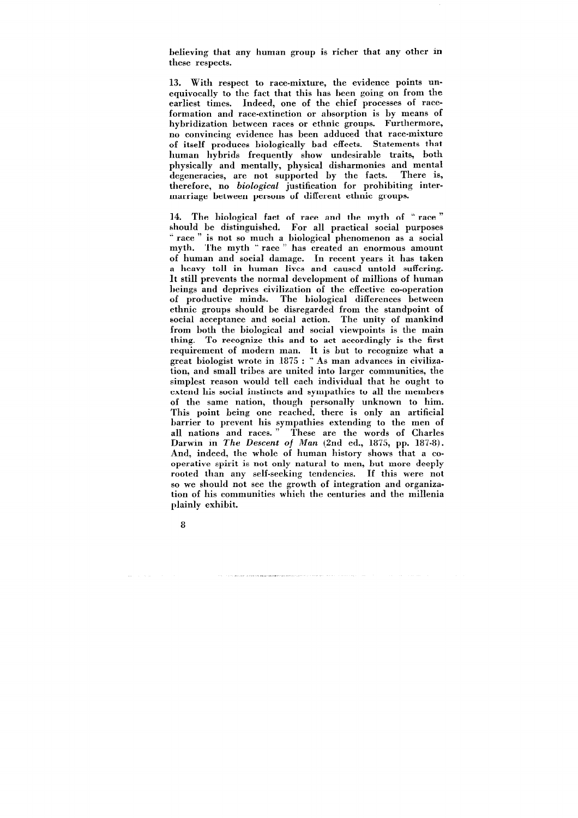believing that any human group is richer that any other in these respects.

13. With respect to race-mixture, the evidence points unequivocally to the fact that this has heen going on from the earliest times. Indeed, one of the chief processes of raceformation and race-extinction or absorption is by means of hybridization between races or ethnic groups. Furthermore, no convincing evidence has been adduced that race-mixture of itself produces biologically bad effects. Statements that human hybrids frequently show undesirable traits, both physically and mentally, physical disharmonies and mental degeneracies, are not supported by the facts. There is, therefore, no biological justification for prohibiting intermarriage between persons of different ethnic groups.

14. The biological fact of race and the myth of " race " should be distinguished. For all practical social purposes " race " is not so much a biological phenomenon as a social myth. The myth " race " has created an enormous amount of human and social damage. In recent years it has taken a heavy toll in human lives and caused untold suffering. It still prevents the normal development of millions of human beings and deprives civilization of the effective co-operation of productive minds. The biological differences between ethnic groups should be disregarded from the standpoint of social acceptance and social action. The unity of mankind from both the biological and social viewpoints is the main thing. To recognize this and to act accordingly is the first requirement of modern man. It is but to recognize what a great biologist wrote in 1875 : " As man advances in civilization, and small tribes are united into larger communities, the simplest reason would tell each individual that he ought to extend his social instincts and sympathies to all the members of the same nation, though personally unknown to him. This point being one reached, there is only an artificial barrier to prevent his sympathies extending to the men of all nations and races." These are the words of Charles Darwin in The Descent of Man (2nd ed., 1875, pp. 187-8). And, indeed, the whole of human history shows that a cooperative spirit is not only natural to men, but more deeply rooted than any self-seeking tendencies. If this were not so we should not see the growth of integration and organization of his communities which the centuries and the millenia plainly exhibit.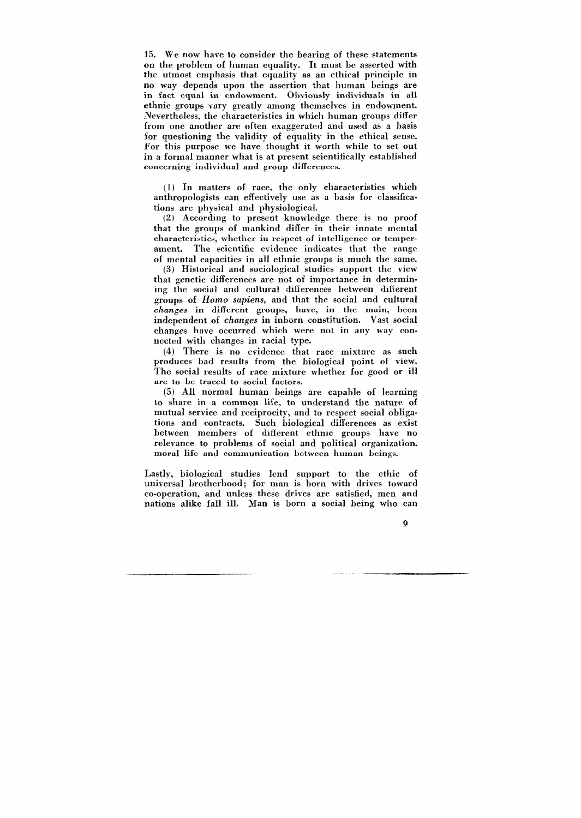15. We now have to consider the bearing of these statements on the problem of human equality. It must be asserted with the utmost emphasis that equality as an ethical principle in no way depends upon the assertion that human beings are in fact equal in endowment. Obviously individuals in all ethnic groups vary greatly among themselves in endowment. Nevertheless, the characteristics in which human groups differ from one another are often exaggerated and used as a basis for questioning the validity of equality in the ethical sense. For this purpose we have thought it worth while to set out in a formal manner what is at present scientifically established concerning individual and group differences.

(1) In matters of race, the only characteristics which anthropologists can effectively use as a basis for classifications are physical and physiological.

(2) According to present knowledge there is no proof that the groups of mankind differ in their innate mental characteristics, whether in respect of intelligence or temperament. The scientific evidence indicates that the range of mental capacities in all ethnic groups is much the same.

(3) Historical and sociological studies support the view that genetic differences are not of importance in determining the social and cultural differences between different groups of Homo supiens, and that the social and cultural changes in different groups, have, in the main, been independent of changes in inborn constitution. Vast social changes have occurred which were not in any way connected with changes in racial type.

(4) There is no evidence that race mixture as such produces bad results from the biological point of view. The social results of race mixture whether for good or ill are to be traced to social factors.

(5) All normal human beings are capable of learning to share in a common life, to understand the nature of mutual service and reciprocity, and to respect social obligations and contracts. Such biological dilfferences as exist between members of different ethnic groups have no relevance to problems of social and political organization, moral life and communication between human beings.

Lastly, biological studies lend support to the ethic of universal brotherhood; for man is born with drives toward co-operation, and unless these drives are satisfied, men and nations alike fall ill. Man is born a social being who can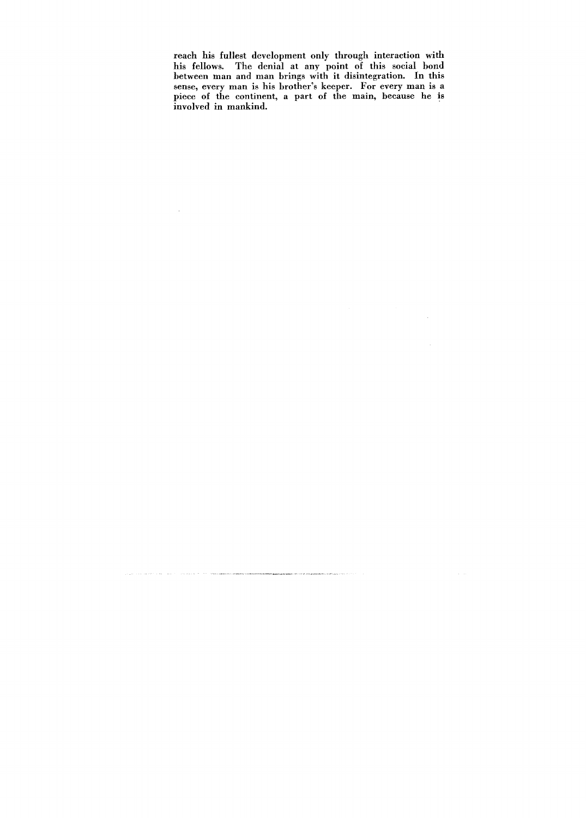reach his fullest development only through interaction with his fellows. The denial at any point of this social bond between man and man brings with it disintegration. In this sense, every man is his brother's keeper. For every man is a piece of the continent, a part of the main, because he is involved in mankind.